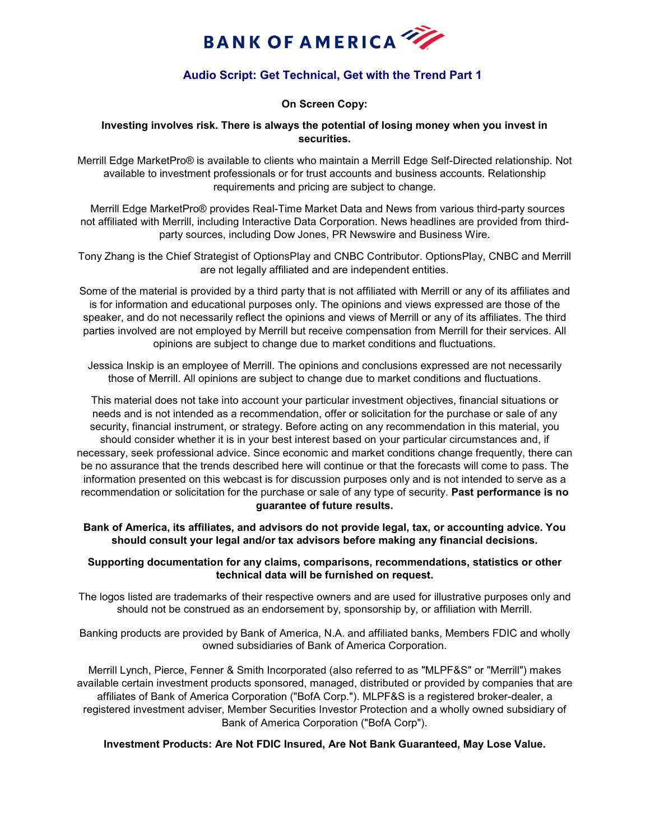

# **Audio Script: Get Technical, Get with the Trend Part 1**

# **On Screen Copy:**

### **Investing involves risk. There is always the potential of losing money when you invest in securities.**

Merrill Edge MarketPro® is available to clients who maintain a Merrill Edge Self-Directed relationship. Not available to investment professionals or for trust accounts and business accounts. Relationship requirements and pricing are subject to change.

 Merrill Edge MarketPro® provides Real-Time Market Data and News from various third-party sources not affiliated with Merrill, including Interactive Data Corporation. News headlines are provided from thirdparty sources, including Dow Jones, PR Newswire and Business Wire.

Tony Zhang is the Chief Strategist of OptionsPlay and CNBC Contributor. OptionsPlay, CNBC and Merrill are not legally affiliated and are independent entities.

Some of the material is provided by a third party that is not affiliated with Merrill or any of its affiliates and is for information and educational purposes only. The opinions and views expressed are those of the speaker, and do not necessarily reflect the opinions and views of Merrill or any of its affiliates. The third parties involved are not employed by Merrill but receive compensation from Merrill for their services. All opinions are subject to change due to market conditions and fluctuations.

Jessica Inskip is an employee of Merrill. The opinions and conclusions expressed are not necessarily those of Merrill. All opinions are subject to change due to market conditions and fluctuations.

This material does not take into account your particular investment objectives, financial situations or needs and is not intended as a recommendation, offer or solicitation for the purchase or sale of any security, financial instrument, or strategy. Before acting on any recommendation in this material, you should consider whether it is in your best interest based on your particular circumstances and, if necessary, seek professional advice. Since economic and market conditions change frequently, there can be no assurance that the trends described here will continue or that the forecasts will come to pass. The information presented on this webcast is for discussion purposes only and is not intended to serve as a recommendation or solicitation for the purchase or sale of any type of security. **Past performance is no guarantee of future results.**

**Bank of America, its affiliates, and advisors do not provide legal, tax, or accounting advice. You should consult your legal and/or tax advisors before making any financial decisions.**

## **Supporting documentation for any claims, comparisons, recommendations, statistics or other technical data will be furnished on request.**

The logos listed are trademarks of their respective owners and are used for illustrative purposes only and should not be construed as an endorsement by, sponsorship by, or affiliation with Merrill.

Banking products are provided by Bank of America, N.A. and affiliated banks, Members FDIC and wholly owned subsidiaries of Bank of America Corporation.

Merrill Lynch, Pierce, Fenner & Smith Incorporated (also referred to as "MLPF&S" or "Merrill") makes available certain investment products sponsored, managed, distributed or provided by companies that are affiliates of Bank of America Corporation ("BofA Corp."). MLPF&S is a registered broker-dealer, a registered investment adviser, Member Securities Investor Protection and a wholly owned subsidiary of Bank of America Corporation ("BofA Corp").

### **Investment Products: Are Not FDIC Insured, Are Not Bank Guaranteed, May Lose Value.**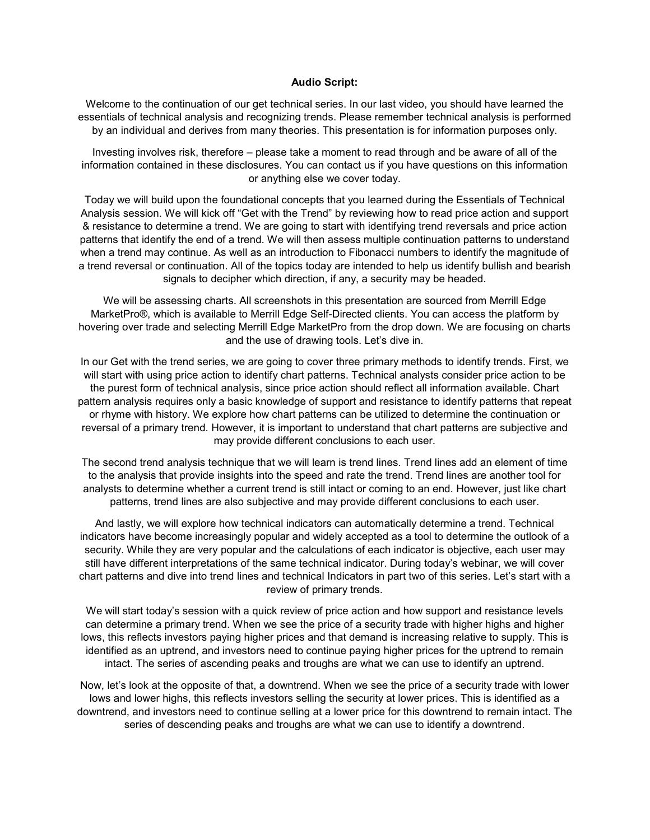#### **Audio Script:**

Welcome to the continuation of our get technical series. In our last video, you should have learned the essentials of technical analysis and recognizing trends. Please remember technical analysis is performed by an individual and derives from many theories. This presentation is for information purposes only.

Investing involves risk, therefore – please take a moment to read through and be aware of all of the information contained in these disclosures. You can contact us if you have questions on this information or anything else we cover today.

Today we will build upon the foundational concepts that you learned during the Essentials of Technical Analysis session. We will kick off "Get with the Trend" by reviewing how to read price action and support & resistance to determine a trend. We are going to start with identifying trend reversals and price action patterns that identify the end of a trend. We will then assess multiple continuation patterns to understand when a trend may continue. As well as an introduction to Fibonacci numbers to identify the magnitude of a trend reversal or continuation. All of the topics today are intended to help us identify bullish and bearish signals to decipher which direction, if any, a security may be headed.

We will be assessing charts. All screenshots in this presentation are sourced from Merrill Edge MarketPro®, which is available to Merrill Edge Self-Directed clients. You can access the platform by hovering over trade and selecting Merrill Edge MarketPro from the drop down. We are focusing on charts and the use of drawing tools. Let's dive in.

In our Get with the trend series, we are going to cover three primary methods to identify trends. First, we will start with using price action to identify chart patterns. Technical analysts consider price action to be the purest form of technical analysis, since price action should reflect all information available. Chart pattern analysis requires only a basic knowledge of support and resistance to identify patterns that repeat or rhyme with history. We explore how chart patterns can be utilized to determine the continuation or reversal of a primary trend. However, it is important to understand that chart patterns are subjective and may provide different conclusions to each user.

The second trend analysis technique that we will learn is trend lines. Trend lines add an element of time to the analysis that provide insights into the speed and rate the trend. Trend lines are another tool for analysts to determine whether a current trend is still intact or coming to an end. However, just like chart patterns, trend lines are also subjective and may provide different conclusions to each user.

And lastly, we will explore how technical indicators can automatically determine a trend. Technical indicators have become increasingly popular and widely accepted as a tool to determine the outlook of a security. While they are very popular and the calculations of each indicator is objective, each user may still have different interpretations of the same technical indicator. During today's webinar, we will cover chart patterns and dive into trend lines and technical Indicators in part two of this series. Let's start with a review of primary trends.

We will start today's session with a quick review of price action and how support and resistance levels can determine a primary trend. When we see the price of a security trade with higher highs and higher lows, this reflects investors paying higher prices and that demand is increasing relative to supply. This is identified as an uptrend, and investors need to continue paying higher prices for the uptrend to remain intact. The series of ascending peaks and troughs are what we can use to identify an uptrend.

Now, let's look at the opposite of that, a downtrend. When we see the price of a security trade with lower lows and lower highs, this reflects investors selling the security at lower prices. This is identified as a downtrend, and investors need to continue selling at a lower price for this downtrend to remain intact. The series of descending peaks and troughs are what we can use to identify a downtrend.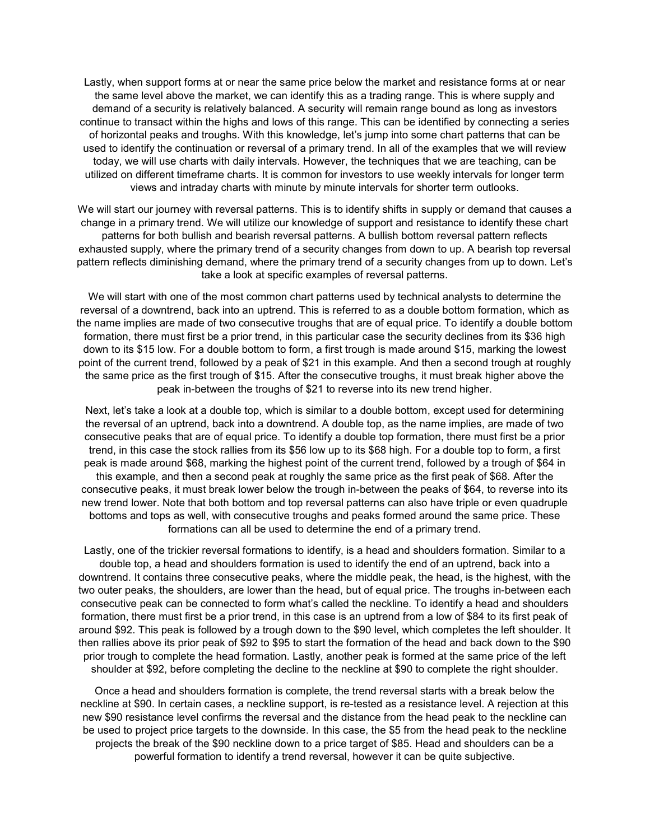Lastly, when support forms at or near the same price below the market and resistance forms at or near the same level above the market, we can identify this as a trading range. This is where supply and demand of a security is relatively balanced. A security will remain range bound as long as investors continue to transact within the highs and lows of this range. This can be identified by connecting a series of horizontal peaks and troughs. With this knowledge, let's jump into some chart patterns that can be used to identify the continuation or reversal of a primary trend. In all of the examples that we will review today, we will use charts with daily intervals. However, the techniques that we are teaching, can be utilized on different timeframe charts. It is common for investors to use weekly intervals for longer term views and intraday charts with minute by minute intervals for shorter term outlooks.

We will start our journey with reversal patterns. This is to identify shifts in supply or demand that causes a change in a primary trend. We will utilize our knowledge of support and resistance to identify these chart patterns for both bullish and bearish reversal patterns. A bullish bottom reversal pattern reflects exhausted supply, where the primary trend of a security changes from down to up. A bearish top reversal pattern reflects diminishing demand, where the primary trend of a security changes from up to down. Let's take a look at specific examples of reversal patterns.

We will start with one of the most common chart patterns used by technical analysts to determine the reversal of a downtrend, back into an uptrend. This is referred to as a double bottom formation, which as the name implies are made of two consecutive troughs that are of equal price. To identify a double bottom formation, there must first be a prior trend, in this particular case the security declines from its \$36 high down to its \$15 low. For a double bottom to form, a first trough is made around \$15, marking the lowest point of the current trend, followed by a peak of \$21 in this example. And then a second trough at roughly the same price as the first trough of \$15. After the consecutive troughs, it must break higher above the peak in-between the troughs of \$21 to reverse into its new trend higher.

Next, let's take a look at a double top, which is similar to a double bottom, except used for determining the reversal of an uptrend, back into a downtrend. A double top, as the name implies, are made of two consecutive peaks that are of equal price. To identify a double top formation, there must first be a prior trend, in this case the stock rallies from its \$56 low up to its \$68 high. For a double top to form, a first peak is made around \$68, marking the highest point of the current trend, followed by a trough of \$64 in this example, and then a second peak at roughly the same price as the first peak of \$68. After the consecutive peaks, it must break lower below the trough in-between the peaks of \$64, to reverse into its new trend lower. Note that both bottom and top reversal patterns can also have triple or even quadruple bottoms and tops as well, with consecutive troughs and peaks formed around the same price. These formations can all be used to determine the end of a primary trend.

Lastly, one of the trickier reversal formations to identify, is a head and shoulders formation. Similar to a double top, a head and shoulders formation is used to identify the end of an uptrend, back into a downtrend. It contains three consecutive peaks, where the middle peak, the head, is the highest, with the two outer peaks, the shoulders, are lower than the head, but of equal price. The troughs in-between each consecutive peak can be connected to form what's called the neckline. To identify a head and shoulders formation, there must first be a prior trend, in this case is an uptrend from a low of \$84 to its first peak of around \$92. This peak is followed by a trough down to the \$90 level, which completes the left shoulder. It then rallies above its prior peak of \$92 to \$95 to start the formation of the head and back down to the \$90 prior trough to complete the head formation. Lastly, another peak is formed at the same price of the left shoulder at \$92, before completing the decline to the neckline at \$90 to complete the right shoulder.

Once a head and shoulders formation is complete, the trend reversal starts with a break below the neckline at \$90. In certain cases, a neckline support, is re-tested as a resistance level. A rejection at this new \$90 resistance level confirms the reversal and the distance from the head peak to the neckline can be used to project price targets to the downside. In this case, the \$5 from the head peak to the neckline projects the break of the \$90 neckline down to a price target of \$85. Head and shoulders can be a powerful formation to identify a trend reversal, however it can be quite subjective.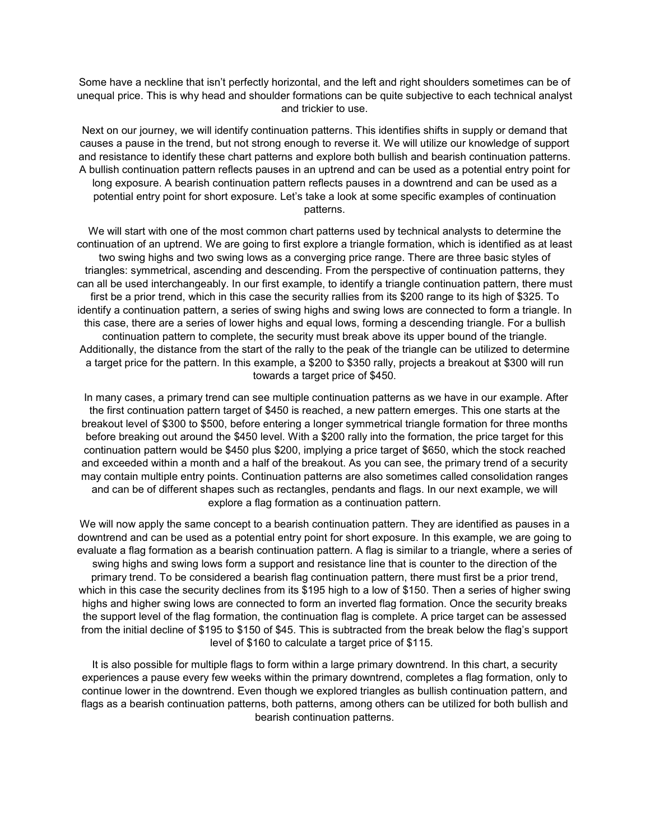Some have a neckline that isn't perfectly horizontal, and the left and right shoulders sometimes can be of unequal price. This is why head and shoulder formations can be quite subjective to each technical analyst and trickier to use.

Next on our journey, we will identify continuation patterns. This identifies shifts in supply or demand that causes a pause in the trend, but not strong enough to reverse it. We will utilize our knowledge of support and resistance to identify these chart patterns and explore both bullish and bearish continuation patterns. A bullish continuation pattern reflects pauses in an uptrend and can be used as a potential entry point for long exposure. A bearish continuation pattern reflects pauses in a downtrend and can be used as a potential entry point for short exposure. Let's take a look at some specific examples of continuation patterns.

We will start with one of the most common chart patterns used by technical analysts to determine the continuation of an uptrend. We are going to first explore a triangle formation, which is identified as at least two swing highs and two swing lows as a converging price range. There are three basic styles of triangles: symmetrical, ascending and descending. From the perspective of continuation patterns, they can all be used interchangeably. In our first example, to identify a triangle continuation pattern, there must first be a prior trend, which in this case the security rallies from its \$200 range to its high of \$325. To identify a continuation pattern, a series of swing highs and swing lows are connected to form a triangle. In this case, there are a series of lower highs and equal lows, forming a descending triangle. For a bullish continuation pattern to complete, the security must break above its upper bound of the triangle. Additionally, the distance from the start of the rally to the peak of the triangle can be utilized to determine a target price for the pattern. In this example, a \$200 to \$350 rally, projects a breakout at \$300 will run towards a target price of \$450.

In many cases, a primary trend can see multiple continuation patterns as we have in our example. After the first continuation pattern target of \$450 is reached, a new pattern emerges. This one starts at the breakout level of \$300 to \$500, before entering a longer symmetrical triangle formation for three months before breaking out around the \$450 level. With a \$200 rally into the formation, the price target for this continuation pattern would be \$450 plus \$200, implying a price target of \$650, which the stock reached and exceeded within a month and a half of the breakout. As you can see, the primary trend of a security may contain multiple entry points. Continuation patterns are also sometimes called consolidation ranges and can be of different shapes such as rectangles, pendants and flags. In our next example, we will explore a flag formation as a continuation pattern.

We will now apply the same concept to a bearish continuation pattern. They are identified as pauses in a downtrend and can be used as a potential entry point for short exposure. In this example, we are going to evaluate a flag formation as a bearish continuation pattern. A flag is similar to a triangle, where a series of swing highs and swing lows form a support and resistance line that is counter to the direction of the primary trend. To be considered a bearish flag continuation pattern, there must first be a prior trend, which in this case the security declines from its \$195 high to a low of \$150. Then a series of higher swing highs and higher swing lows are connected to form an inverted flag formation. Once the security breaks the support level of the flag formation, the continuation flag is complete. A price target can be assessed from the initial decline of \$195 to \$150 of \$45. This is subtracted from the break below the flag's support level of \$160 to calculate a target price of \$115.

It is also possible for multiple flags to form within a large primary downtrend. In this chart, a security experiences a pause every few weeks within the primary downtrend, completes a flag formation, only to continue lower in the downtrend. Even though we explored triangles as bullish continuation pattern, and flags as a bearish continuation patterns, both patterns, among others can be utilized for both bullish and bearish continuation patterns.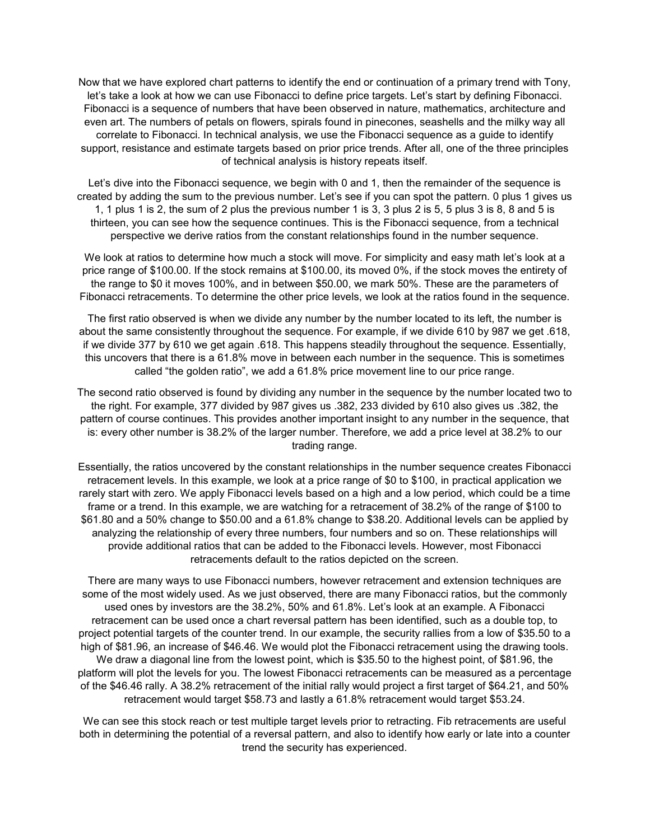Now that we have explored chart patterns to identify the end or continuation of a primary trend with Tony, let's take a look at how we can use Fibonacci to define price targets. Let's start by defining Fibonacci. Fibonacci is a sequence of numbers that have been observed in nature, mathematics, architecture and even art. The numbers of petals on flowers, spirals found in pinecones, seashells and the milky way all correlate to Fibonacci. In technical analysis, we use the Fibonacci sequence as a guide to identify support, resistance and estimate targets based on prior price trends. After all, one of the three principles of technical analysis is history repeats itself.

Let's dive into the Fibonacci sequence, we begin with 0 and 1, then the remainder of the sequence is created by adding the sum to the previous number. Let's see if you can spot the pattern. 0 plus 1 gives us 1, 1 plus 1 is 2, the sum of 2 plus the previous number 1 is 3, 3 plus 2 is 5, 5 plus 3 is 8, 8 and 5 is thirteen, you can see how the sequence continues. This is the Fibonacci sequence, from a technical perspective we derive ratios from the constant relationships found in the number sequence.

We look at ratios to determine how much a stock will move. For simplicity and easy math let's look at a price range of \$100.00. If the stock remains at \$100.00, its moved 0%, if the stock moves the entirety of the range to \$0 it moves 100%, and in between \$50.00, we mark 50%. These are the parameters of Fibonacci retracements. To determine the other price levels, we look at the ratios found in the sequence.

The first ratio observed is when we divide any number by the number located to its left, the number is about the same consistently throughout the sequence. For example, if we divide 610 by 987 we get .618, if we divide 377 by 610 we get again .618. This happens steadily throughout the sequence. Essentially, this uncovers that there is a 61.8% move in between each number in the sequence. This is sometimes called "the golden ratio", we add a 61.8% price movement line to our price range.

The second ratio observed is found by dividing any number in the sequence by the number located two to the right. For example, 377 divided by 987 gives us .382, 233 divided by 610 also gives us .382, the pattern of course continues. This provides another important insight to any number in the sequence, that is: every other number is 38.2% of the larger number. Therefore, we add a price level at 38.2% to our trading range.

Essentially, the ratios uncovered by the constant relationships in the number sequence creates Fibonacci retracement levels. In this example, we look at a price range of \$0 to \$100, in practical application we rarely start with zero. We apply Fibonacci levels based on a high and a low period, which could be a time frame or a trend. In this example, we are watching for a retracement of 38.2% of the range of \$100 to \$61.80 and a 50% change to \$50.00 and a 61.8% change to \$38.20. Additional levels can be applied by analyzing the relationship of every three numbers, four numbers and so on. These relationships will provide additional ratios that can be added to the Fibonacci levels. However, most Fibonacci retracements default to the ratios depicted on the screen.

There are many ways to use Fibonacci numbers, however retracement and extension techniques are some of the most widely used. As we just observed, there are many Fibonacci ratios, but the commonly used ones by investors are the 38.2%, 50% and 61.8%. Let's look at an example. A Fibonacci retracement can be used once a chart reversal pattern has been identified, such as a double top, to project potential targets of the counter trend. In our example, the security rallies from a low of \$35.50 to a high of \$81.96, an increase of \$46.46. We would plot the Fibonacci retracement using the drawing tools. We draw a diagonal line from the lowest point, which is \$35.50 to the highest point, of \$81.96, the platform will plot the levels for you. The lowest Fibonacci retracements can be measured as a percentage of the \$46.46 rally. A 38.2% retracement of the initial rally would project a first target of \$64.21, and 50% retracement would target \$58.73 and lastly a 61.8% retracement would target \$53.24.

We can see this stock reach or test multiple target levels prior to retracting. Fib retracements are useful both in determining the potential of a reversal pattern, and also to identify how early or late into a counter trend the security has experienced.